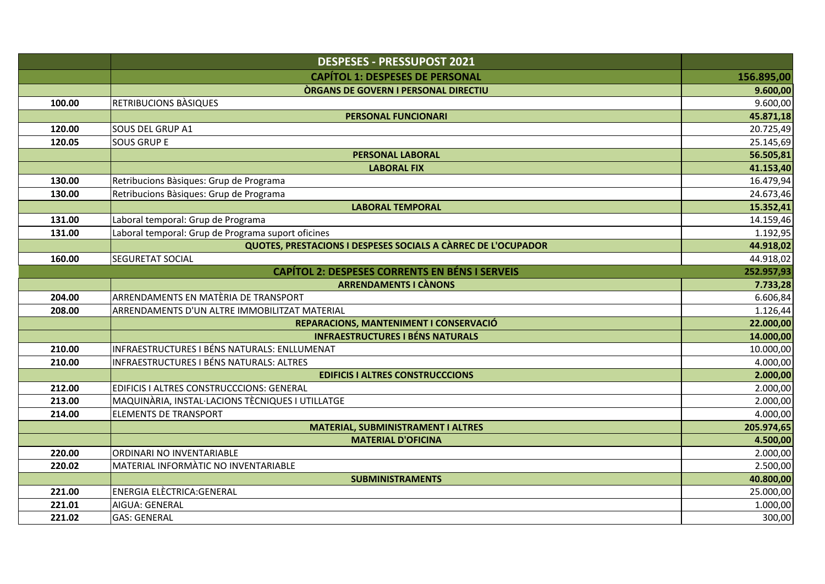|        | <b>DESPESES - PRESSUPOST 2021</b>                             |            |
|--------|---------------------------------------------------------------|------------|
|        | <b>CAPÍTOL 1: DESPESES DE PERSONAL</b>                        | 156.895,00 |
|        | <b>ORGANS DE GOVERN I PERSONAL DIRECTIU</b>                   | 9.600,00   |
| 100.00 | RETRIBUCIONS BASIQUES                                         | 9.600,00   |
|        | PERSONAL FUNCIONARI                                           | 45.871,18  |
| 120.00 | <b>SOUS DEL GRUP A1</b>                                       | 20.725,49  |
| 120.05 | <b>SOUS GRUP E</b>                                            | 25.145,69  |
|        | <b>PERSONAL LABORAL</b>                                       | 56.505,81  |
|        | <b>LABORAL FIX</b>                                            | 41.153,40  |
| 130.00 | Retribucions Bàsiques: Grup de Programa                       | 16.479,94  |
| 130.00 | Retribucions Bàsiques: Grup de Programa                       | 24.673,46  |
|        | <b>LABORAL TEMPORAL</b>                                       | 15.352,41  |
| 131.00 | Laboral temporal: Grup de Programa                            | 14.159,46  |
| 131.00 | Laboral temporal: Grup de Programa suport oficines            | 1.192,95   |
|        | QUOTES, PRESTACIONS I DESPESES SOCIALS A CÀRREC DE L'OCUPADOR | 44.918,02  |
| 160.00 | <b>SEGURETAT SOCIAL</b>                                       | 44.918,02  |
|        | <b>CAPÍTOL 2: DESPESES CORRENTS EN BÉNS I SERVEIS</b>         | 252.957,93 |
|        | <b>ARRENDAMENTS I CÀNONS</b>                                  | 7.733,28   |
| 204.00 | ARRENDAMENTS EN MATÈRIA DE TRANSPORT                          | 6.606,84   |
| 208.00 | ARRENDAMENTS D'UN ALTRE IMMOBILITZAT MATERIAL                 | 1.126,44   |
|        | REPARACIONS, MANTENIMENT I CONSERVACIÓ                        | 22.000,00  |
|        | <b>INFRAESTRUCTURES I BÉNS NATURALS</b>                       | 14.000,00  |
| 210.00 | INFRAESTRUCTURES I BÉNS NATURALS: ENLLUMENAT                  | 10.000,00  |
| 210.00 | INFRAESTRUCTURES I BÉNS NATURALS: ALTRES                      | 4.000,00   |
|        | <b>EDIFICIS I ALTRES CONSTRUCCCIONS</b>                       | 2.000,00   |
| 212.00 | EDIFICIS I ALTRES CONSTRUCCCIONS: GENERAL                     | 2.000,00   |
| 213.00 | MAQUINÀRIA, INSTAL·LACIONS TÈCNIQUES I UTILLATGE              | 2.000,00   |
| 214.00 | <b>ELEMENTS DE TRANSPORT</b>                                  | 4.000,00   |
|        | <b>MATERIAL, SUBMINISTRAMENT I ALTRES</b>                     | 205.974,65 |
|        | <b>MATERIAL D'OFICINA</b>                                     | 4.500,00   |
| 220.00 | ORDINARI NO INVENTARIABLE                                     | 2.000,00   |
| 220.02 | MATERIAL INFORMATIC NO INVENTARIABLE                          | 2.500,00   |
|        | <b>SUBMINISTRAMENTS</b>                                       | 40.800,00  |
| 221.00 | <b>ENERGIA ELÈCTRICA:GENERAL</b>                              | 25.000,00  |
| 221.01 | AIGUA: GENERAL                                                | 1.000,00   |
| 221.02 | <b>GAS: GENERAL</b>                                           | 300,00     |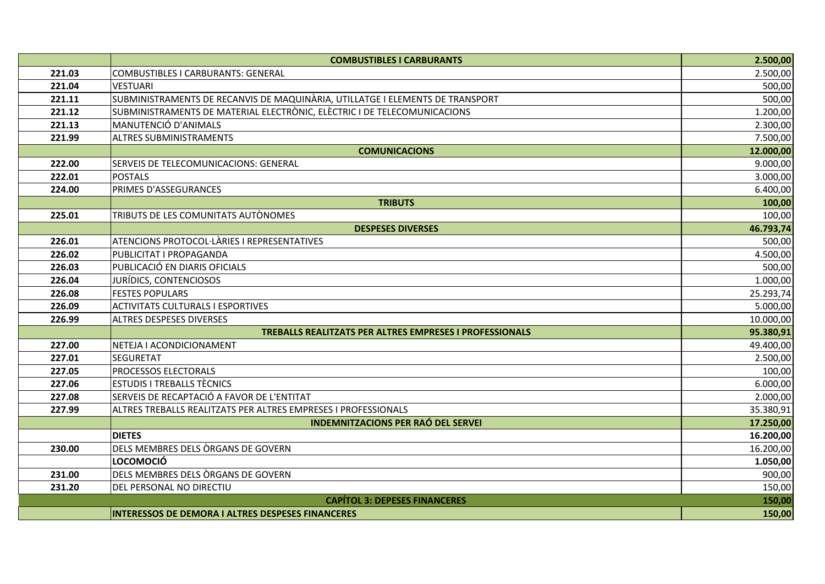|        | <b>COMBUSTIBLES I CARBURANTS</b>                                              | 2.500,00  |
|--------|-------------------------------------------------------------------------------|-----------|
| 221.03 | COMBUSTIBLES I CARBURANTS: GENERAL                                            | 2.500,00  |
| 221.04 | <b>VESTUARI</b>                                                               | 500,00    |
| 221.11 | SUBMINISTRAMENTS DE RECANVIS DE MAQUINÀRIA, UTILLATGE I ELEMENTS DE TRANSPORT | 500,00    |
| 221.12 | SUBMINISTRAMENTS DE MATERIAL ELECTRÒNIC, ELÈCTRIC I DE TELECOMUNICACIONS      | 1.200,00  |
| 221.13 | MANUTENCIÓ D'ANIMALS                                                          | 2.300,00  |
| 221.99 | <b>ALTRES SUBMINISTRAMENTS</b>                                                | 7.500,00  |
|        | <b>COMUNICACIONS</b>                                                          | 12.000,00 |
| 222.00 | SERVEIS DE TELECOMUNICACIONS: GENERAL                                         | 9.000,00  |
| 222.01 | POSTALS                                                                       | 3.000,00  |
| 224.00 | PRIMES D'ASSEGURANCES                                                         | 6.400,00  |
|        | <b>TRIBUTS</b>                                                                | 100,00    |
| 225.01 | TRIBUTS DE LES COMUNITATS AUTÒNOMES                                           | 100,00    |
|        | <b>DESPESES DIVERSES</b>                                                      | 46.793,74 |
| 226.01 | ATENCIONS PROTOCOL·LÀRIES I REPRESENTATIVES                                   | 500,00    |
| 226.02 | PUBLICITAT I PROPAGANDA                                                       | 4.500,00  |
| 226.03 | PUBLICACIÓ EN DIARIS OFICIALS                                                 | 500,00    |
| 226.04 | JURÍDICS, CONTENCIOSOS                                                        | 1.000,00  |
| 226.08 | <b>FESTES POPULARS</b>                                                        | 25.293,74 |
| 226.09 | <b>ACTIVITATS CULTURALS I ESPORTIVES</b>                                      | 5.000,00  |
| 226.99 | <b>ALTRES DESPESES DIVERSES</b>                                               | 10.000,00 |
|        | <b>TREBALLS REALITZATS PER ALTRES EMPRESES I PROFESSIONALS</b>                | 95.380,91 |
| 227.00 | NETEJA I ACONDICIONAMENT                                                      | 49.400,00 |
| 227.01 | <b>SEGURETAT</b>                                                              | 2.500,00  |
| 227.05 | PROCESSOS ELECTORALS                                                          | 100,00    |
| 227.06 | <b>ESTUDIS I TREBALLS TÈCNICS</b>                                             | 6.000,00  |
| 227.08 | SERVEIS DE RECAPTACIÓ A FAVOR DE L'ENTITAT                                    | 2.000,00  |
| 227.99 | ALTRES TREBALLS REALITZATS PER ALTRES EMPRESES I PROFESSIONALS                | 35.380,91 |
|        | <b>INDEMNITZACIONS PER RAÓ DEL SERVEI</b>                                     | 17.250,00 |
|        | <b>DIETES</b>                                                                 | 16.200,00 |
| 230.00 | DELS MEMBRES DELS ÒRGANS DE GOVERN                                            | 16.200,00 |
|        | LOCOMOCIÓ                                                                     | 1.050,00  |
| 231.00 | DELS MEMBRES DELS ÒRGANS DE GOVERN                                            | 900,00    |
| 231.20 | DEL PERSONAL NO DIRECTIU                                                      | 150,00    |
|        | <b>CAPÍTOL 3: DEPESES FINANCERES</b>                                          | 150,00    |
|        | <b>INTERESSOS DE DEMORA I ALTRES DESPESES FINANCERES</b>                      | 150,00    |